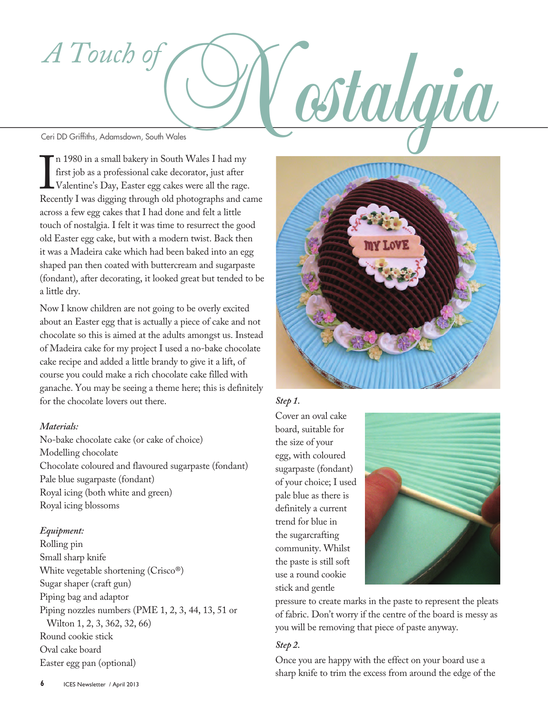# *A Touch of*

I H 1900 II a shinal bakery in South Wates I had my<br>first job as a professional cake decorator, just after<br>Valentine's Day, Easter egg cakes were all the rage.<br>Recently I was digging through old photographs and came n 1980 in a small bakery in South Wales I had my first job as a professional cake decorator, just after Valentine's Day, Easter egg cakes were all the rage. across a few egg cakes that I had done and felt a little touch of nostalgia. I felt it was time to resurrect the good old Easter egg cake, but with a modern twist. Back then it was a Madeira cake which had been baked into an egg shaped pan then coated with buttercream and sugarpaste (fondant), after decorating, it looked great but tended to be a little dry.

Now I know children are not going to be overly excited about an Easter egg that is actually a piece of cake and not chocolate so this is aimed at the adults amongst us. Instead of Madeira cake for my project I used a no-bake chocolate cake recipe and added a little brandy to give it a lift, of course you could make a rich chocolate cake filled with ganache. You may be seeing a theme here; this is definitely for the chocolate lovers out there.

### *Materials:*

No-bake chocolate cake (or cake of choice) Modelling chocolate Chocolate coloured and flavoured sugarpaste (fondant) Pale blue sugarpaste (fondant) Royal icing (both white and green) Royal icing blossoms

## *Equipment:*

Rolling pin Small sharp knife White vegetable shortening (Crisco®) Sugar shaper (craft gun) Piping bag and adaptor Piping nozzles numbers (PME 1, 2, 3, 44, 13, 51 or Wilton 1, 2, 3, 362, 32, 66) Round cookie stick Oval cake board Easter egg pan (optional)



## *Step 1.*

Cover an oval cake board, suitable for the size of your egg, with coloured sugarpaste (fondant) of your choice; I used pale blue as there is definitely a current trend for blue in the sugarcrafting community. Whilst the paste is still soft use a round cookie stick and gentle



pressure to create marks in the paste to represent the pleats of fabric. Don't worry if the centre of the board is messy as you will be removing that piece of paste anyway.

### *Step 2.*

Once you are happy with the effect on your board use a sharp knife to trim the excess from around the edge of the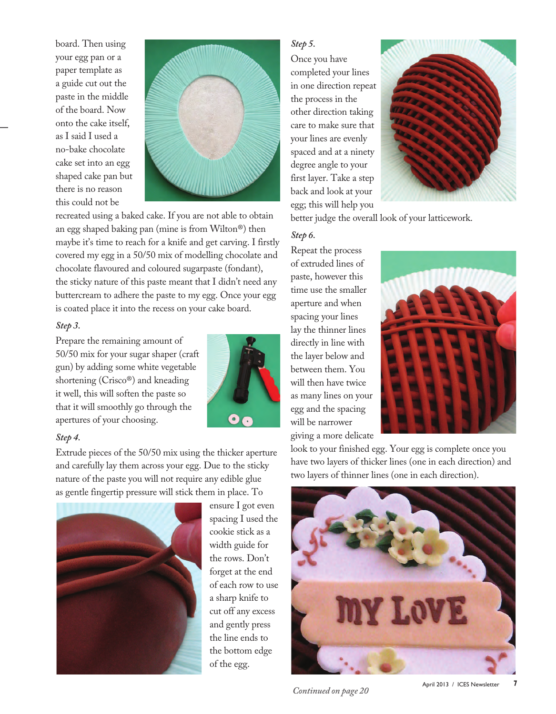board. Then using your egg pan or a paper template as a guide cut out the paste in the middle of the board. Now onto the cake itself, as I said I used a no-bake chocolate cake set into an egg shaped cake pan but there is no reason this could not be



recreated using a baked cake. If you are not able to obtain an egg shaped baking pan (mine is from Wilton®) then maybe it's time to reach for a knife and get carving. I firstly covered my egg in a 50/50 mix of modelling chocolate and chocolate flavoured and coloured sugarpaste (fondant), the sticky nature of this paste meant that I didn't need any buttercream to adhere the paste to my egg. Once your egg is coated place it into the recess on your cake board.

### *Step 3.*

Prepare the remaining amount of 50/50 mix for your sugar shaper (craft gun) by adding some white vegetable shortening (Crisco®) and kneading it well, this will soften the paste so that it will smoothly go through the apertures of your choosing.



### *Step 4.*

Extrude pieces of the 50/50 mix using the thicker aperture and carefully lay them across your egg. Due to the sticky nature of the paste you will not require any edible glue as gentle fingertip pressure will stick them in place. To



ensure I got even spacing I used the cookie stick as a width guide for the rows. Don't forget at the end of each row to use a sharp knife to cut off any excess and gently press the line ends to the bottom edge of the egg.

### *Step 5.*

Once you have completed your lines in one direction repeat the process in the other direction taking care to make sure that your lines are evenly spaced and at a ninety degree angle to your first layer. Take a step back and look at your egg; this will help you



better judge the overall look of your latticework.

### *Step 6.*

Repeat the process of extruded lines of paste, however this time use the smaller aperture and when spacing your lines lay the thinner lines directly in line with the layer below and between them. You will then have twice as many lines on your egg and the spacing will be narrower giving a more delicate



look to your finished egg. Your egg is complete once you have two layers of thicker lines (one in each direction) and two layers of thinner lines (one in each direction).



*Continued on page 20*